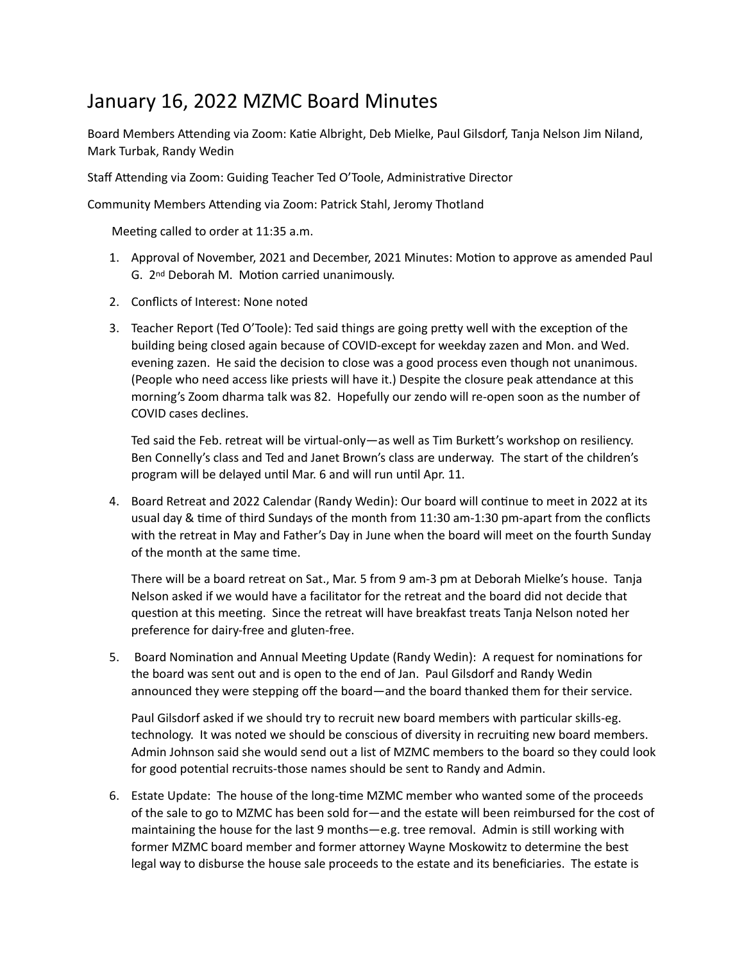## January 16, 2022 MZMC Board Minutes

Board Members Attending via Zoom: Katie Albright, Deb Mielke, Paul Gilsdorf, Tanja Nelson Jim Niland, Mark Turbak, Randy Wedin

Staff Attending via Zoom: Guiding Teacher Ted O'Toole, Administrative Director

Community Members Attending via Zoom: Patrick Stahl, Jeromy Thotland

Meeting called to order at 11:35 a.m.

- 1. Approval of November, 2021 and December, 2021 Minutes: Motion to approve as amended Paul G. 2<sup>nd</sup> Deborah M. Motion carried unanimously.
- 2. Conflicts of Interest: None noted
- 3. Teacher Report (Ted O'Toole): Ted said things are going pretty well with the exception of the building being closed again because of COVID-except for weekday zazen and Mon. and Wed. evening zazen. He said the decision to close was a good process even though not unanimous. (People who need access like priests will have it.) Despite the closure peak attendance at this morning's Zoom dharma talk was 82. Hopefully our zendo will re-open soon as the number of COVID cases declines.

Ted said the Feb. retreat will be virtual-only—as well as Tim Burkett's workshop on resiliency. Ben Connelly's class and Ted and Janet Brown's class are underway. The start of the children's program will be delayed until Mar. 6 and will run until Apr. 11.

4. Board Retreat and 2022 Calendar (Randy Wedin): Our board will continue to meet in 2022 at its usual day  $&$  time of third Sundays of the month from 11:30 am-1:30 pm-apart from the conflicts with the retreat in May and Father's Day in June when the board will meet on the fourth Sunday of the month at the same time.

There will be a board retreat on Sat., Mar. 5 from 9 am-3 pm at Deborah Mielke's house. Tanja Nelson asked if we would have a facilitator for the retreat and the board did not decide that question at this meeting. Since the retreat will have breakfast treats Tanja Nelson noted her preference for dairy-free and gluten-free.

5. Board Nomination and Annual Meeting Update (Randy Wedin): A request for nominations for the board was sent out and is open to the end of Jan. Paul Gilsdorf and Randy Wedin announced they were stepping off the board—and the board thanked them for their service.

Paul Gilsdorf asked if we should try to recruit new board members with particular skills-eg. technology. It was noted we should be conscious of diversity in recruiting new board members. Admin Johnson said she would send out a list of MZMC members to the board so they could look for good potential recruits-those names should be sent to Randy and Admin.

6. Estate Update: The house of the long-time MZMC member who wanted some of the proceeds of the sale to go to MZMC has been sold for—and the estate will been reimbursed for the cost of maintaining the house for the last 9 months—e.g. tree removal. Admin is still working with former MZMC board member and former attorney Wayne Moskowitz to determine the best legal way to disburse the house sale proceeds to the estate and its beneficiaries. The estate is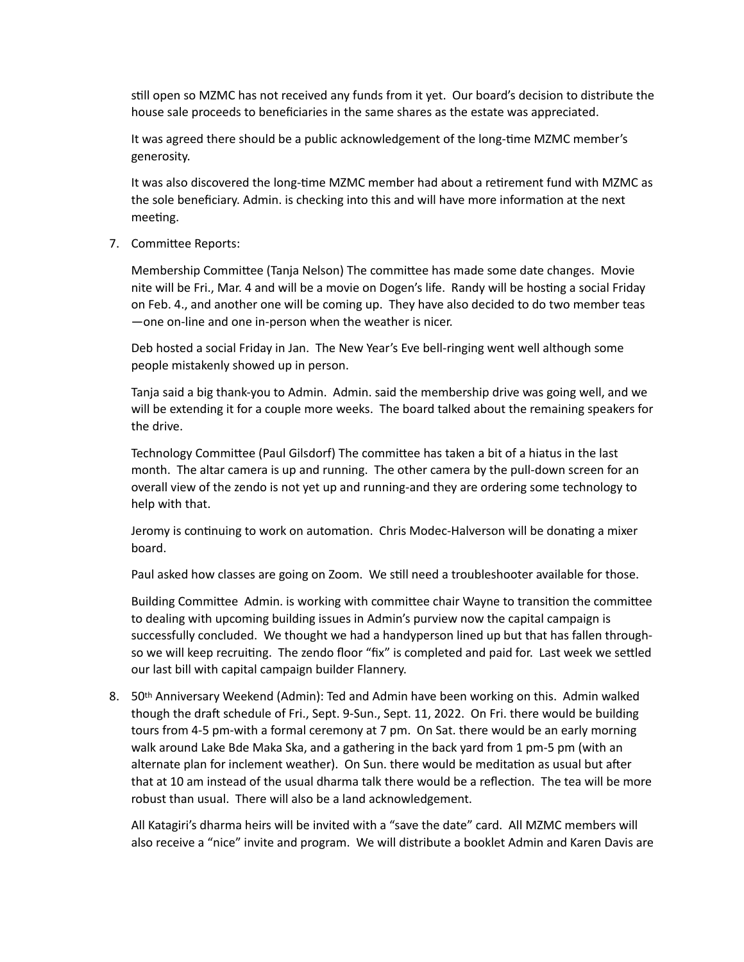still open so MZMC has not received any funds from it yet. Our board's decision to distribute the house sale proceeds to beneficiaries in the same shares as the estate was appreciated.

It was agreed there should be a public acknowledgement of the long-time MZMC member's generosity. 

It was also discovered the long-time MZMC member had about a retirement fund with MZMC as the sole beneficiary. Admin. is checking into this and will have more information at the next meeting.

7. Committee Reports:

Membership Committee (Tanja Nelson) The committee has made some date changes. Movie nite will be Fri., Mar. 4 and will be a movie on Dogen's life. Randy will be hosting a social Friday on Feb. 4., and another one will be coming up. They have also decided to do two member teas —one on-line and one in-person when the weather is nicer.

Deb hosted a social Friday in Jan. The New Year's Eve bell-ringing went well although some people mistakenly showed up in person.

Tanja said a big thank-you to Admin. Admin. said the membership drive was going well, and we will be extending it for a couple more weeks. The board talked about the remaining speakers for the drive.

Technology Committee (Paul Gilsdorf) The committee has taken a bit of a hiatus in the last month. The altar camera is up and running. The other camera by the pull-down screen for an overall view of the zendo is not yet up and running-and they are ordering some technology to help with that.

Jeromy is continuing to work on automation. Chris Modec-Halverson will be donating a mixer board. 

Paul asked how classes are going on Zoom. We still need a troubleshooter available for those.

Building Committee Admin. is working with committee chair Wayne to transition the committee to dealing with upcoming building issues in Admin's purview now the capital campaign is successfully concluded. We thought we had a handyperson lined up but that has fallen throughso we will keep recruiting. The zendo floor "fix" is completed and paid for. Last week we settled our last bill with capital campaign builder Flannery.

8. 50<sup>th</sup> Anniversary Weekend (Admin): Ted and Admin have been working on this. Admin walked though the draft schedule of Fri., Sept. 9-Sun., Sept. 11, 2022. On Fri. there would be building tours from 4-5 pm-with a formal ceremony at 7 pm. On Sat. there would be an early morning walk around Lake Bde Maka Ska, and a gathering in the back yard from 1 pm-5 pm (with an alternate plan for inclement weather). On Sun. there would be meditation as usual but after that at 10 am instead of the usual dharma talk there would be a reflection. The tea will be more robust than usual. There will also be a land acknowledgement.

All Katagiri's dharma heirs will be invited with a "save the date" card. All MZMC members will also receive a "nice" invite and program. We will distribute a booklet Admin and Karen Davis are